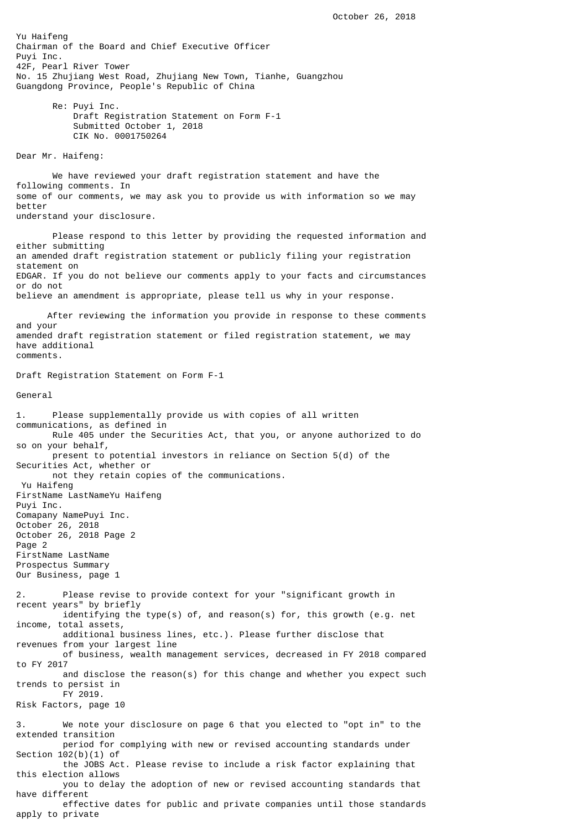Yu Haifeng Chairman of the Board and Chief Executive Officer Puyi Inc. 42F, Pearl River Tower No. 15 Zhujiang West Road, Zhujiang New Town, Tianhe, Guangzhou Guangdong Province, People's Republic of China Re: Puyi Inc. Draft Registration Statement on Form F-1 Submitted October 1, 2018 CIK No. 0001750264 Dear Mr. Haifeng: We have reviewed your draft registration statement and have the following comments. In some of our comments, we may ask you to provide us with information so we may better understand your disclosure. Please respond to this letter by providing the requested information and either submitting an amended draft registration statement or publicly filing your registration statement on EDGAR. If you do not believe our comments apply to your facts and circumstances or do not believe an amendment is appropriate, please tell us why in your response. After reviewing the information you provide in response to these comments and your amended draft registration statement or filed registration statement, we may have additional comments. Draft Registration Statement on Form F-1 General 1. Please supplementally provide us with copies of all written communications, as defined in Rule 405 under the Securities Act, that you, or anyone authorized to do so on your behalf, present to potential investors in reliance on Section 5(d) of the Securities Act, whether or not they retain copies of the communications. Yu Haifeng FirstName LastNameYu Haifeng Puyi Inc. Comapany NamePuyi Inc. October 26, 2018 October 26, 2018 Page 2 Page 2 FirstName LastName Prospectus Summary Our Business, page 1 2. Please revise to provide context for your "significant growth in recent years" by briefly identifying the type(s) of, and reason(s) for, this growth (e.g. net income, total assets, additional business lines, etc.). Please further disclose that revenues from your largest line of business, wealth management services, decreased in FY 2018 compared to FY 2017 and disclose the reason(s) for this change and whether you expect such trends to persist in FY 2019. Risk Factors, page 10 3. We note your disclosure on page 6 that you elected to "opt in" to the extended transition period for complying with new or revised accounting standards under Section 102(b)(1) of the JOBS Act. Please revise to include a risk factor explaining that this election allows you to delay the adoption of new or revised accounting standards that have different effective dates for public and private companies until those standards apply to private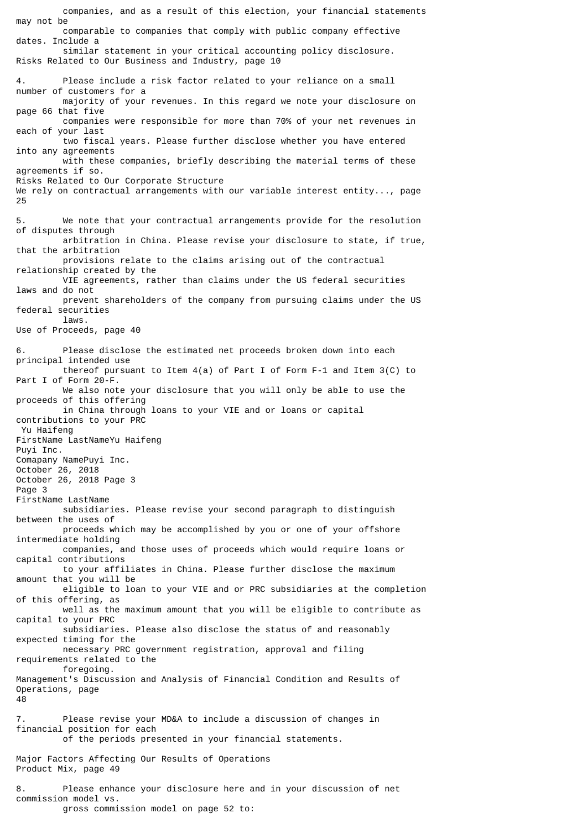may not be comparable to companies that comply with public company effective dates. Include a similar statement in your critical accounting policy disclosure. Risks Related to Our Business and Industry, page 10 4. Please include a risk factor related to your reliance on a small number of customers for a majority of your revenues. In this regard we note your disclosure on page 66 that five companies were responsible for more than 70% of your net revenues in each of your last two fiscal years. Please further disclose whether you have entered into any agreements with these companies, briefly describing the material terms of these agreements if so. Risks Related to Our Corporate Structure We rely on contractual arrangements with our variable interest entity..., page 25 5. We note that your contractual arrangements provide for the resolution of disputes through arbitration in China. Please revise your disclosure to state, if true, that the arbitration provisions relate to the claims arising out of the contractual relationship created by the VIE agreements, rather than claims under the US federal securities laws and do not prevent shareholders of the company from pursuing claims under the US federal securities laws. Use of Proceeds, page 40 6. Please disclose the estimated net proceeds broken down into each principal intended use thereof pursuant to Item 4(a) of Part I of Form F-1 and Item 3(C) to Part I of Form 20-F. We also note your disclosure that you will only be able to use the proceeds of this offering in China through loans to your VIE and or loans or capital contributions to your PRC Yu Haifeng FirstName LastNameYu Haifeng Puyi Inc. Comapany NamePuyi Inc. October 26, 2018 October 26, 2018 Page 3 Page 3 FirstName LastName subsidiaries. Please revise your second paragraph to distinguish between the uses of proceeds which may be accomplished by you or one of your offshore intermediate holding companies, and those uses of proceeds which would require loans or capital contributions to your affiliates in China. Please further disclose the maximum amount that you will be eligible to loan to your VIE and or PRC subsidiaries at the completion of this offering, as well as the maximum amount that you will be eligible to contribute as capital to your PRC subsidiaries. Please also disclose the status of and reasonably expected timing for the necessary PRC government registration, approval and filing requirements related to the foregoing. Management's Discussion and Analysis of Financial Condition and Results of Operations, page 48 7. Please revise your MD&A to include a discussion of changes in financial position for each of the periods presented in your financial statements. Major Factors Affecting Our Results of Operations Product Mix, page 49 8. Please enhance your disclosure here and in your discussion of net commission model vs.

companies, and as a result of this election, your financial statements

gross commission model on page 52 to: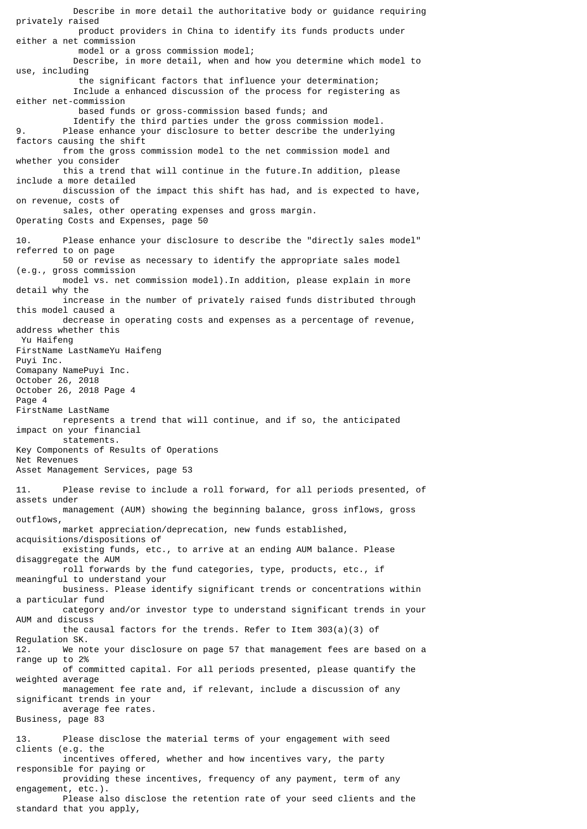Describe in more detail the authoritative body or guidance requiring privately raised product providers in China to identify its funds products under either a net commission model or a gross commission model; Describe, in more detail, when and how you determine which model to use, including the significant factors that influence your determination; Include a enhanced discussion of the process for registering as either net-commission based funds or gross-commission based funds; and Identify the third parties under the gross commission model. 9. Please enhance your disclosure to better describe the underlying factors causing the shift from the gross commission model to the net commission model and whether you consider this a trend that will continue in the future.In addition, please include a more detailed discussion of the impact this shift has had, and is expected to have, on revenue, costs of sales, other operating expenses and gross margin. Operating Costs and Expenses, page 50 10. Please enhance your disclosure to describe the "directly sales model" referred to on page 50 or revise as necessary to identify the appropriate sales model (e.g., gross commission model vs. net commission model).In addition, please explain in more detail why the increase in the number of privately raised funds distributed through this model caused a decrease in operating costs and expenses as a percentage of revenue, address whether this Yu Haifeng FirstName LastNameYu Haifeng Puyi Inc. Comapany NamePuyi Inc. October 26, 2018 October 26, 2018 Page 4 Page 4 FirstName LastName represents a trend that will continue, and if so, the anticipated impact on your financial statements. Key Components of Results of Operations Net Revenues Asset Management Services, page 53 11. Please revise to include a roll forward, for all periods presented, of assets under management (AUM) showing the beginning balance, gross inflows, gross outflows, market appreciation/deprecation, new funds established, acquisitions/dispositions of existing funds, etc., to arrive at an ending AUM balance. Please disaggregate the AUM roll forwards by the fund categories, type, products, etc., if meaningful to understand your business. Please identify significant trends or concentrations within a particular fund category and/or investor type to understand significant trends in your AUM and discuss the causal factors for the trends. Refer to Item 303(a)(3) of Regulation SK. 12. We note your disclosure on page 57 that management fees are based on a range up to 2% of committed capital. For all periods presented, please quantify the weighted average management fee rate and, if relevant, include a discussion of any significant trends in your average fee rates. Business, page 83 13. Please disclose the material terms of your engagement with seed clients (e.g. the incentives offered, whether and how incentives vary, the party responsible for paying or providing these incentives, frequency of any payment, term of any engagement, etc.) Please also disclose the retention rate of your seed clients and the standard that you apply,